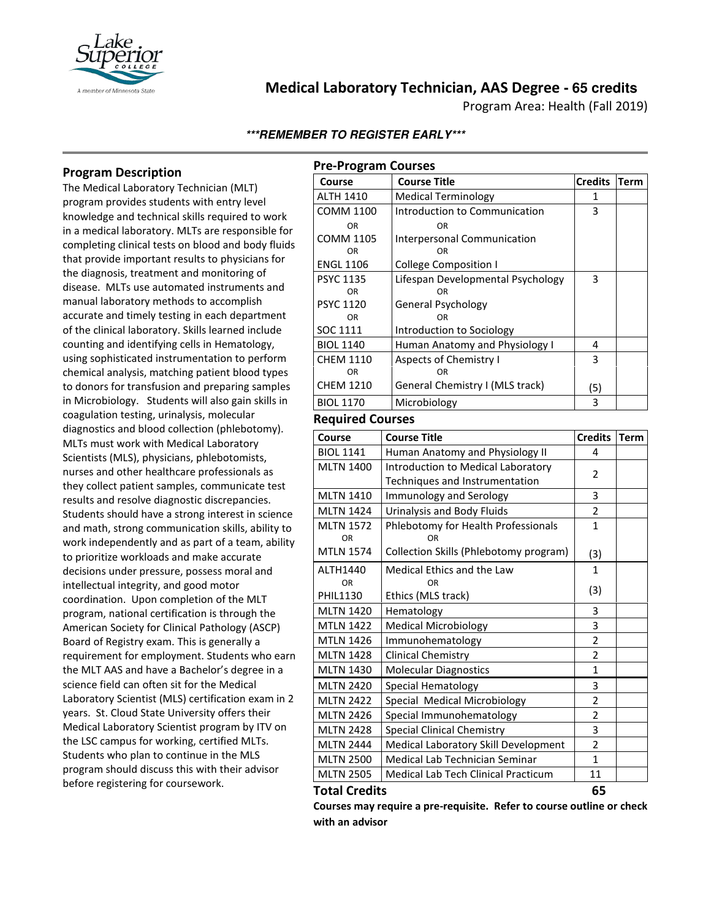

## **Medical Laboratory Technician, AAS Degree - 65 credits**

Program Area: Health (Fall 2019)

## **\*\*\*REMEMBER TO REGISTER EARLY\*\*\***

## **Program Description**

The Medical Laboratory Technician (MLT) program provides students with entry level knowledge and technical skills required to work in a medical laboratory. MLTs are responsible for completing clinical tests on blood and body fluids that provide important results to physicians for the diagnosis, treatment and monitoring of disease. MLTs use automated instruments and manual laboratory methods to accomplish accurate and timely testing in each department of the clinical laboratory. Skills learned include counting and identifying cells in Hematology, using sophisticated instrumentation to perform chemical analysis, matching patient blood types to donors for transfusion and preparing samples in Microbiology. Students will also gain skills in coagulation testing, urinalysis, molecular diagnostics and blood collection (phlebotomy). MLTs must work with Medical Laboratory Scientists (MLS), physicians, phlebotomists, nurses and other healthcare professionals as they collect patient samples, communicate test results and resolve diagnostic discrepancies. Students should have a strong interest in science and math, strong communication skills, ability to work independently and as part of a team, ability to prioritize workloads and make accurate decisions under pressure, possess moral and intellectual integrity, and good motor coordination. Upon completion of the MLT program, national certification is through the American Society for Clinical Pathology (ASCP) Board of Registry exam. This is generally a requirement for employment. Students who earn the MLT AAS and have a Bachelor's degree in a science field can often sit for the Medical Laboratory Scientist (MLS) certification exam in 2 years. St. Cloud State University offers their Medical Laboratory Scientist program by ITV on the LSC campus for working, certified MLTs. Students who plan to continue in the MLS program should discuss this with their advisor before registering for coursework.

| <b>Pre-Program Courses</b>           |                                               |                |             |
|--------------------------------------|-----------------------------------------------|----------------|-------------|
| Course                               | <b>Course Title</b>                           | <b>Credits</b> | <b>Term</b> |
| <b>ALTH 1410</b>                     | <b>Medical Terminology</b>                    | 1              |             |
| <b>COMM 1100</b>                     | Introduction to Communication                 | 3              |             |
| OR                                   | OR                                            |                |             |
| <b>COMM 1105</b>                     | Interpersonal Communication                   |                |             |
| OR                                   | OR                                            |                |             |
| <b>ENGL 1106</b>                     | <b>College Composition I</b>                  |                |             |
| <b>PSYC 1135</b><br><b>OR</b>        | Lifespan Developmental Psychology<br>OR       | 3              |             |
| <b>PSYC 1120</b>                     | General Psychology                            |                |             |
| <b>OR</b>                            | OR                                            |                |             |
| SOC 1111                             | Introduction to Sociology                     |                |             |
| <b>BIOL 1140</b>                     | Human Anatomy and Physiology I                | 4              |             |
| <b>CHEM 1110</b>                     | <b>Aspects of Chemistry I</b>                 | 3              |             |
| OR                                   | OR                                            |                |             |
| <b>CHEM 1210</b>                     | General Chemistry I (MLS track)               | (5)            |             |
| <b>BIOL 1170</b>                     | Microbiology                                  | 3              |             |
| <b>Required Courses</b>              |                                               |                |             |
| Course                               | <b>Course Title</b>                           | <b>Credits</b> | <b>Term</b> |
| <b>BIOL 1141</b>                     | Human Anatomy and Physiology II               | 4              |             |
| <b>MLTN 1400</b>                     | Introduction to Medical Laboratory            | 2              |             |
|                                      | Techniques and Instrumentation                |                |             |
| <b>MLTN 1410</b>                     | Immunology and Serology                       | 3              |             |
| <b>MLTN 1424</b>                     | Urinalysis and Body Fluids                    | 2              |             |
| <b>MLTN 1572</b>                     | Phlebotomy for Health Professionals           | 1              |             |
| OR                                   | <b>OR</b>                                     |                |             |
| <b>MTLN 1574</b>                     | Collection Skills (Phlebotomy program)        | (3)            |             |
| ALTH1440                             | Medical Ethics and the Law                    | $\mathbf{1}$   |             |
| <b>OR</b>                            | OR                                            | (3)            |             |
| <b>PHIL1130</b>                      | Ethics (MLS track)                            |                |             |
| <b>MLTN 1420</b>                     | Hematology                                    | 3<br>3         |             |
| <b>MTLN 1422</b><br><b>MTLN 1426</b> | <b>Medical Microbiology</b>                   | $\overline{2}$ |             |
| <b>MLTN 1428</b>                     | Immunohematology<br><b>Clinical Chemistry</b> | $\overline{2}$ |             |
| <b>MLTN 1430</b>                     | Molecular Diagnostics                         | $\mathbf{1}$   |             |
|                                      |                                               |                |             |
| <b>MLTN 2420</b>                     | Special Hematology                            | 3              |             |
| <b>MLTN 2422</b>                     | Special Medical Microbiology                  | $\overline{2}$ |             |
| <b>MLTN 2426</b>                     | Special Immunohematology                      | 2<br>3         |             |
| <b>MLTN 2428</b><br><b>MLTN 2444</b> | <b>Special Clinical Chemistry</b>             | $\overline{2}$ |             |
|                                      | Medical Laboratory Skill Development          | $\mathbf{1}$   |             |
| <b>MLTN 2500</b>                     | Medical Lab Technician Seminar                |                |             |
| <b>MLTN 2505</b>                     | Medical Lab Tech Clinical Practicum           | 11             |             |

#### **Total Credits 65**

**Courses may require a pre-requisite. Refer to course outline or check with an advisor**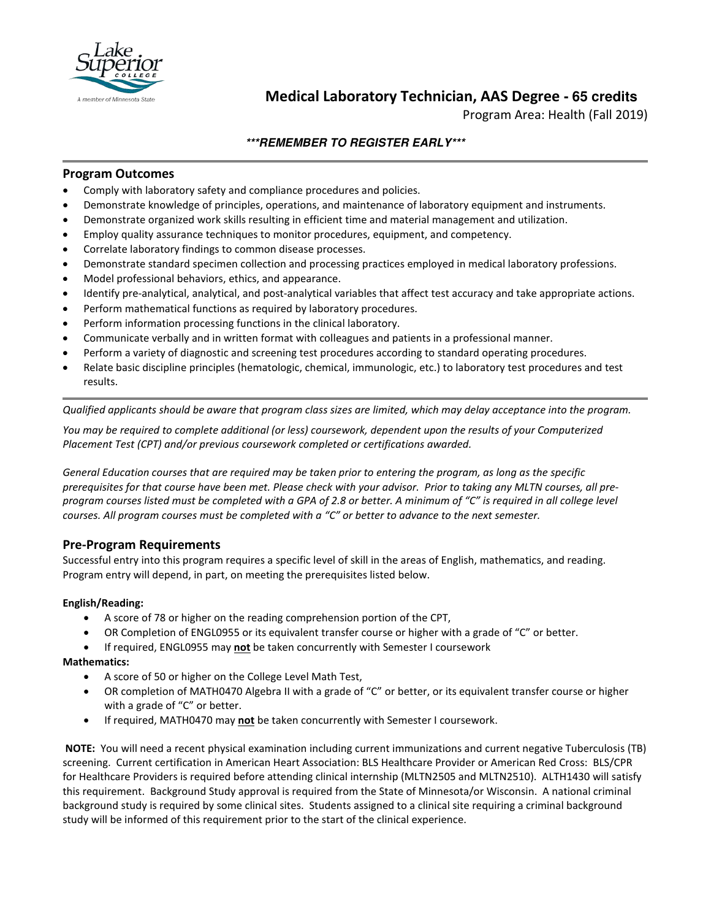

# **Medical Laboratory Technician, AAS Degree - 65 credits**

Program Area: Health (Fall 2019)

## **\*\*\*REMEMBER TO REGISTER EARLY\*\*\***

#### **Program Outcomes**

- Comply with laboratory safety and compliance procedures and policies.
- Demonstrate knowledge of principles, operations, and maintenance of laboratory equipment and instruments.
- Demonstrate organized work skills resulting in efficient time and material management and utilization.
- Employ quality assurance techniques to monitor procedures, equipment, and competency.
- Correlate laboratory findings to common disease processes.
- Demonstrate standard specimen collection and processing practices employed in medical laboratory professions.
- Model professional behaviors, ethics, and appearance.
- Identify pre-analytical, analytical, and post-analytical variables that affect test accuracy and take appropriate actions.
- Perform mathematical functions as required by laboratory procedures.
- Perform information processing functions in the clinical laboratory.
- Communicate verbally and in written format with colleagues and patients in a professional manner.
- Perform a variety of diagnostic and screening test procedures according to standard operating procedures.
- Relate basic discipline principles (hematologic, chemical, immunologic, etc.) to laboratory test procedures and test results.

*Qualified applicants should be aware that program class sizes are limited, which may delay acceptance into the program.*

*You may be required to complete additional (or less) coursework, dependent upon the results of your Computerized Placement Test (CPT) and/or previous coursework completed or certifications awarded.*

*General Education courses that are required may be taken prior to entering the program, as long as the specific prerequisites for that course have been met. Please check with your advisor. Prior to taking any MLTN courses, all preprogram courses listed must be completed with a GPA of 2.8 or better. A minimum of "C" is required in all college level courses. All program courses must be completed with a "C" or better to advance to the next semester.*

## **Pre-Program Requirements**

Successful entry into this program requires a specific level of skill in the areas of English, mathematics, and reading. Program entry will depend, in part, on meeting the prerequisites listed below.

#### **English/Reading:**

- A score of 78 or higher on the reading comprehension portion of the CPT,
- OR Completion of ENGL0955 or its equivalent transfer course or higher with a grade of "C" or better.
- If required, ENGL0955 may **not** be taken concurrently with Semester I coursework

#### **Mathematics:**

- A score of 50 or higher on the College Level Math Test,
- OR completion of MATH0470 Algebra II with a grade of "C" or better, or its equivalent transfer course or higher with a grade of "C" or better.
- If required, MATH0470 may **not** be taken concurrently with Semester I coursework.

**NOTE:** You will need a recent physical examination including current immunizations and current negative Tuberculosis (TB) screening. Current certification in American Heart Association: BLS Healthcare Provider or American Red Cross: BLS/CPR for Healthcare Providers is required before attending clinical internship (MLTN2505 and MLTN2510). ALTH1430 will satisfy this requirement. Background Study approval is required from the State of Minnesota/or Wisconsin. A national criminal background study is required by some clinical sites. Students assigned to a clinical site requiring a criminal background study will be informed of this requirement prior to the start of the clinical experience.